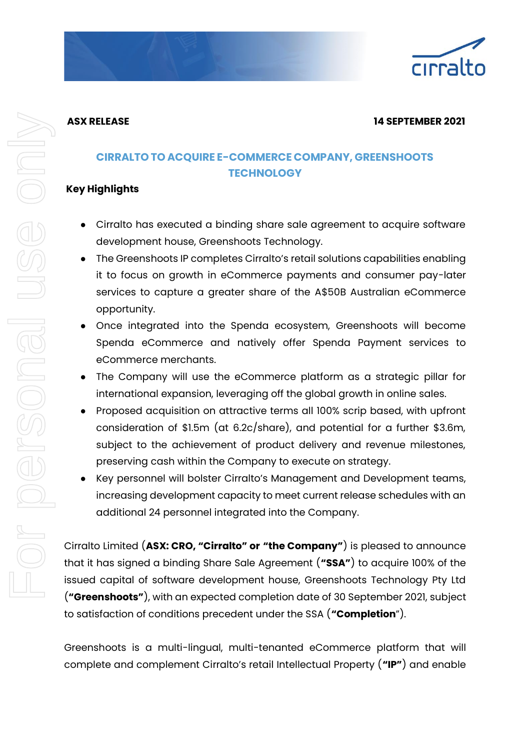

#### **ASX RELEASE 14 SEPTEMBER 2021**

# **CIRRALTO TO ACQUIRE E-COMMERCE COMPANY, GREENSHOOTS TECHNOLOGY**

### **Key Highlights**

- Cirralto has executed a binding share sale agreement to acquire software development house, Greenshoots Technology.
- The Greenshoots IP completes Cirralto's retail solutions capabilities enabling it to focus on growth in eCommerce payments and consumer pay-later services to capture a greater share of the A\$50B Australian eCommerce opportunity.
- Once integrated into the Spenda ecosystem, Greenshoots will become Spenda eCommerce and natively offer Spenda Payment services to eCommerce merchants.
- The Company will use the eCommerce platform as a strategic pillar for international expansion, leveraging off the global growth in online sales.
- Proposed acquisition on attractive terms all 100% scrip based, with upfront consideration of \$1.5m (at 6.2c/share), and potential for a further \$3.6m, subject to the achievement of product delivery and revenue milestones, preserving cash within the Company to execute on strategy.
- Key personnel will bolster Cirralto's Management and Development teams, increasing development capacity to meet current release schedules with an additional 24 personnel integrated into the Company.

Cirralto Limited (**ASX: CRO, "Cirralto" or "the Company"**) is pleased to announce that it has signed a binding Share Sale Agreement (**"SSA"**) to acquire 100% of the issued capital of software development house, Greenshoots Technology Pty Ltd (**"Greenshoots"**), with an expected completion date of 30 September 2021, subject to satisfaction of conditions precedent under the SSA (**"Completion**").

Greenshoots is a multi-lingual, multi-tenanted eCommerce platform that will complete and complement Cirralto's retail Intellectual Property (**"IP"**) and enable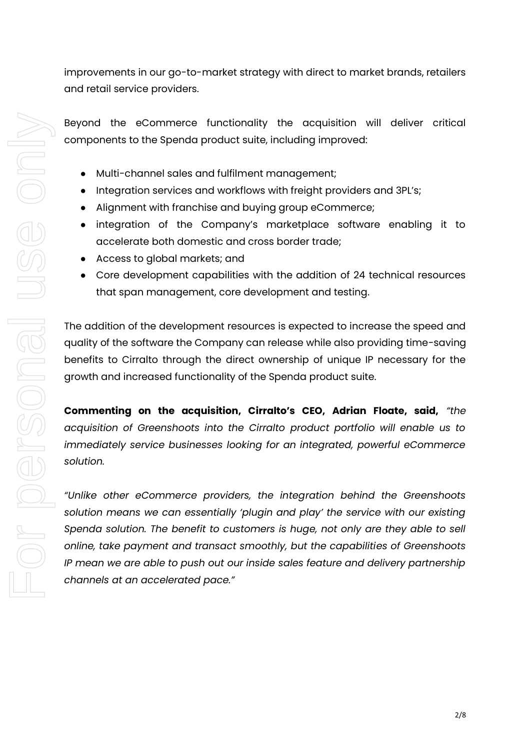improvements in our go-to-market strategy with direct to market brands, retailers and retail service providers.

Beyond the eCommerce functionality the acquisition will deliver critical components to the Spenda product suite, including improved:

- Multi-channel sales and fulfilment management;
- Integration services and workflows with freight providers and 3PL's;
- Alignment with franchise and buying group eCommerce;
- integration of the Company's marketplace software enabling it to accelerate both domestic and cross border trade;
- Access to global markets; and
- Core development capabilities with the addition of 24 technical resources that span management, core development and testing.

The addition of the development resources is expected to increase the speed and quality of the software the Company can release while also providing time-saving benefits to Cirralto through the direct ownership of unique IP necessary for the growth and increased functionality of the Spenda product suite.

**Commenting on the acquisition, Cirralto's CEO, Adrian Floate, said,** *"the acquisition of Greenshoots into the Cirralto product portfolio will enable us to immediately service businesses looking for an integrated, powerful eCommerce solution.* 

*"Unlike other eCommerce providers, the integration behind the Greenshoots solution means we can essentially 'plugin and play' the service with our existing Spenda solution. The benefit to customers is huge, not only are they able to sell online, take payment and transact smoothly, but the capabilities of Greenshoots IP mean we are able to push out our inside sales feature and delivery partnership channels at an accelerated pace."*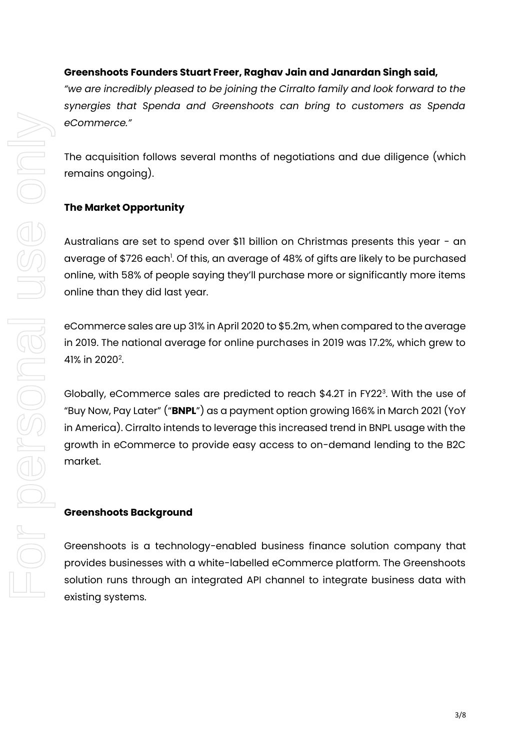### **Greenshoots Founders Stuart Freer, Raghav Jain and Janardan Singh said,**

*"we are incredibly pleased to be joining the Cirralto family and look forward to the synergies that Spenda and Greenshoots can bring to customers as Spenda eCommerce."* 

The acquisition follows several months of negotiations and due diligence (which remains ongoing).

#### **The Market Opportunity**

Australians are set to spend over \$11 billion on Christmas presents this year - an average of \$726 each<sup>1</sup>. Of this, an average of 48% of gifts are likely to be purchased online, with 58% of people saying they'll purchase more or significantly more items online than they did last year.

eCommerce sales are up 31% in April 2020 to \$5.2m, when compared to the average in 2019. The national average for online purchases in 2019 was 17.2%, which grew to 41% in 2020<sup>2</sup>.

Globally, eCommerce sales are predicted to reach \$4.2T in FY22 $^{\rm 3}$ . With the use of "Buy Now, Pay Later" ("**BNPL**") as a payment option growing 166% in March 2021 (YoY in America). Cirralto intends to leverage this increased trend in BNPL usage with the growth in eCommerce to provide easy access to on-demand lending to the B2C market.

#### **Greenshoots Background**

Greenshoots is a technology-enabled business finance solution company that provides businesses with a white-labelled eCommerce platform. The Greenshoots solution runs through an integrated API channel to integrate business data with existing systems.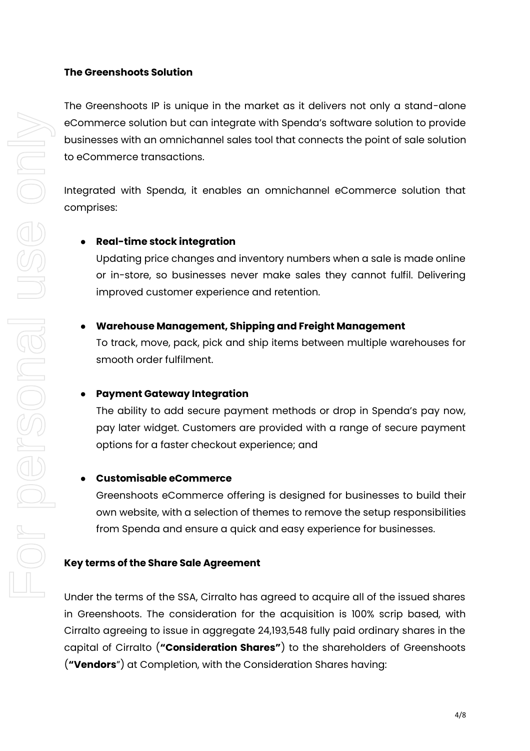#### **The Greenshoots Solution**

The Greenshoots IP is unique in the market as it delivers not only a stand-alone eCommerce solution but can integrate with Spenda's software solution to provide businesses with an omnichannel sales tool that connects the point of sale solution to eCommerce transactions.

Integrated with Spenda, it enables an omnichannel eCommerce solution that comprises:

#### ● **Real-time stock integration**

Updating price changes and inventory numbers when a sale is made online or in-store, so businesses never make sales they cannot fulfil. Delivering improved customer experience and retention.

#### ● **Warehouse Management, Shipping and Freight Management**

To track, move, pack, pick and ship items between multiple warehouses for smooth order fulfilment.

#### ● **Payment Gateway Integration**

The ability to add secure payment methods or drop in Spenda's pay now, pay later widget. Customers are provided with a range of secure payment options for a faster checkout experience; and

### ● **Customisable eCommerce**

Greenshoots eCommerce offering is designed for businesses to build their own website, with a selection of themes to remove the setup responsibilities from Spenda and ensure a quick and easy experience for businesses.

#### **Key terms of the Share Sale Agreement**

Under the terms of the SSA, Cirralto has agreed to acquire all of the issued shares in Greenshoots. The consideration for the acquisition is 100% scrip based, with Cirralto agreeing to issue in aggregate 24,193,548 fully paid ordinary shares in the capital of Cirralto (**"Consideration Shares"**) to the shareholders of Greenshoots (**"Vendors**") at Completion, with the Consideration Shares having: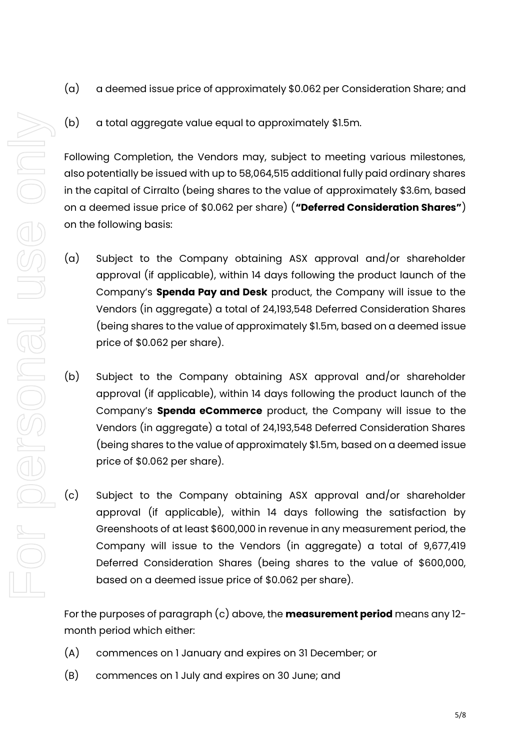- (a) a deemed issue price of approximately \$0.062 per Consideration Share; and
- (b) a total aggregate value equal to approximately \$1.5m.

Following Completion, the Vendors may, subject to meeting various milestones, also potentially be issued with up to 58,064,515 additional fully paid ordinary shares in the capital of Cirralto (being shares to the value of approximately \$3.6m, based on a deemed issue price of \$0.062 per share) (**"Deferred Consideration Shares"**) on the following basis:

- (a) Subject to the Company obtaining ASX approval and/or shareholder approval (if applicable), within 14 days following the product launch of the Company's **Spenda Pay and Desk** product, the Company will issue to the Vendors (in aggregate) a total of 24,193,548 Deferred Consideration Shares (being shares to the value of approximately \$1.5m, based on a deemed issue price of \$0.062 per share).
- (b) Subject to the Company obtaining ASX approval and/or shareholder approval (if applicable), within 14 days following the product launch of the Company's **Spenda eCommerce** product, the Company will issue to the Vendors (in aggregate) a total of 24,193,548 Deferred Consideration Shares (being shares to the value of approximately \$1.5m, based on a deemed issue price of \$0.062 per share).
- (c) Subject to the Company obtaining ASX approval and/or shareholder approval (if applicable), within 14 days following the satisfaction by Greenshoots of at least \$600,000 in revenue in any measurement period, the Company will issue to the Vendors (in aggregate) a total of 9,677,419 Deferred Consideration Shares (being shares to the value of \$600,000, based on a deemed issue price of \$0.062 per share).

For the purposes of paragraph (c) above, the **measurement period** means any 12 month period which either:

- (A) commences on 1 January and expires on 31 December; or
- (B) commences on 1 July and expires on 30 June; and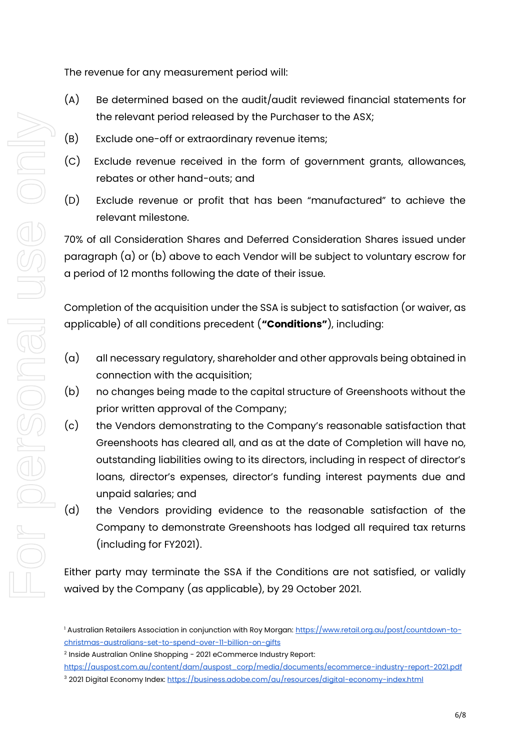The revenue for any measurement period will:

- (A) Be determined based on the audit/audit reviewed financial statements for the relevant period released by the Purchaser to the ASX;
- (B) Exclude one-off or extraordinary revenue items;
- (C) Exclude revenue received in the form of government grants, allowances, rebates or other hand-outs; and
- (D) Exclude revenue or profit that has been "manufactured" to achieve the relevant milestone.

70% of all Consideration Shares and Deferred Consideration Shares issued under paragraph (a) or (b) above to each Vendor will be subject to voluntary escrow for a period of 12 months following the date of their issue.

Completion of the acquisition under the SSA is subject to satisfaction (or waiver, as applicable) of all conditions precedent (**"Conditions"**), including:

- (a) all necessary regulatory, shareholder and other approvals being obtained in connection with the acquisition;
- (b) no changes being made to the capital structure of Greenshoots without the prior written approval of the Company;
- (c) the Vendors demonstrating to the Company's reasonable satisfaction that Greenshoots has cleared all, and as at the date of Completion will have no, outstanding liabilities owing to its directors, including in respect of director's loans, director's expenses, director's funding interest payments due and unpaid salaries; and
- (d) the Vendors providing evidence to the reasonable satisfaction of the Company to demonstrate Greenshoots has lodged all required tax returns (including for FY2021).

Either party may terminate the SSA if the Conditions are not satisfied, or validly waived by the Company (as applicable), by 29 October 2021.

<sup>&</sup>lt;sup>1</sup> Australian Retailers Association in conjunction with Roy Morgan: [https://www.retail.org.au/post/countdown-to](https://www.retail.org.au/post/countdown-to-christmas-australians-set-to-spend-over-11-billion-on-gifts)[christmas-australians-set-to-spend-over-11-billion-on-gifts](https://www.retail.org.au/post/countdown-to-christmas-australians-set-to-spend-over-11-billion-on-gifts)

 $^{\rm 2}$  Inside Australian Online Shopping - 2021 eCommerce Industry Report:

[https://auspost.com.au/content/dam/auspost\\_corp/media/documents/ecommerce-industry-report-2021.pdf](https://auspost.com.au/content/dam/auspost_corp/media/documents/ecommerce-industry-report-2021.pdf) <sup>3</sup> 2021 Digital Economy Index:<https://business.adobe.com/au/resources/digital-economy-index.html>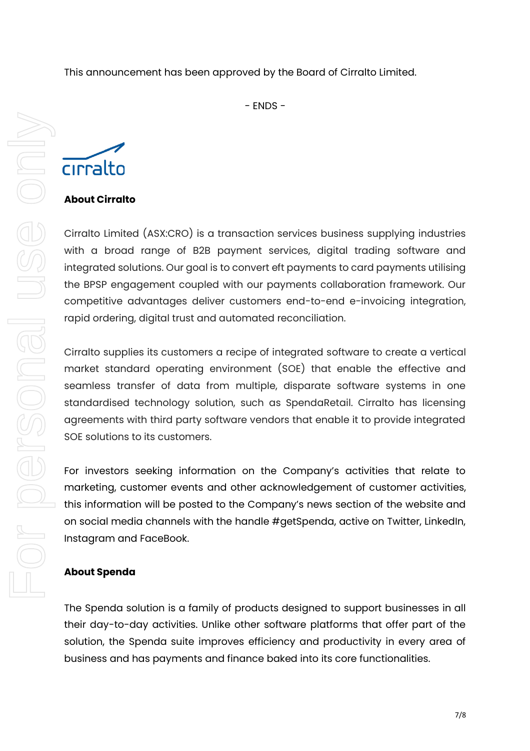This announcement has been approved by the Board of Cirralto Limited.

- ENDS -

Cirralto Limited (ASX:CRO) is a transaction services business supplying industries with a broad range of B2B payment services, digital trading software and integrated solutions. Our goal is to convert eft payments to card payments utilising the BPSP engagement coupled with our payments collaboration framework. Our competitive advantages deliver customers end-to-end e-invoicing integration, rapid ordering, digital trust and automated reconciliation.

Cirralto supplies its customers a recipe of integrated software to create a vertical market standard operating environment (SOE) that enable the effective and seamless transfer of data from multiple, disparate software systems in one standardised technology solution, such as SpendaRetail. Cirralto has licensing agreements with third party software vendors that enable it to provide integrated SOE solutions to its customers.

For investors seeking information on the Company's activities that relate to marketing, customer events and other acknowledgement of customer activities, this information will be posted to the Company's news section of the website and on social media channels with the handle #getSpenda, active on Twitter, LinkedIn, Instagram and FaceBook.

## **About Spenda**

The Spenda solution is a family of products designed to support businesses in all their day-to-day activities. Unlike other software platforms that offer part of the solution, the Spenda suite improves efficiency and productivity in every area of business and has payments and finance baked into its core functionalities.